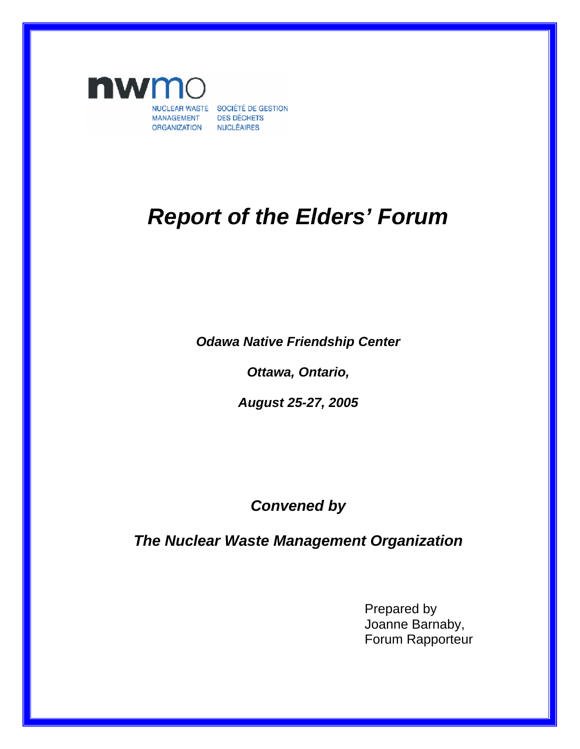

# *Report of the Elders' Forum*

*Odawa Native Friendship Center* 

*Ottawa, Ontario,* 

*August 25-27, 2005* 

## *Convened by*

*The Nuclear Waste Management Organization* 

Prepared by Joanne Barnaby, Forum Rapporteur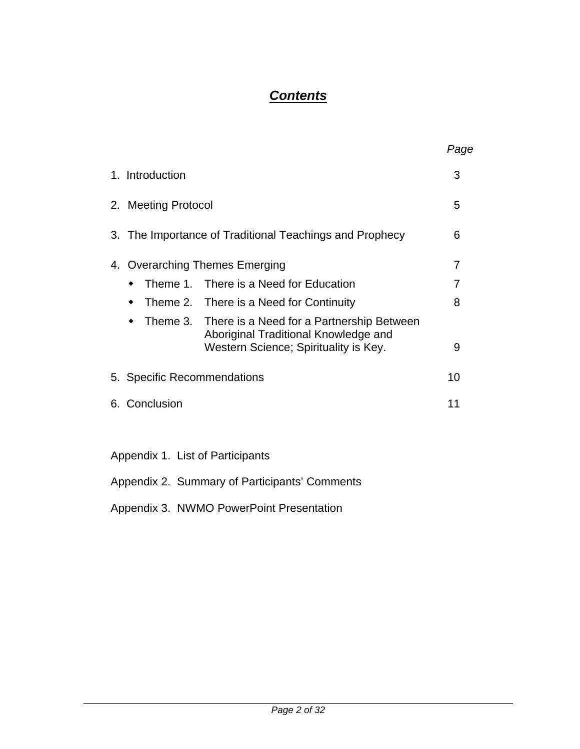## *Contents*

|                                                                               | Page                                                                                                                                                                                                                                                                                       |
|-------------------------------------------------------------------------------|--------------------------------------------------------------------------------------------------------------------------------------------------------------------------------------------------------------------------------------------------------------------------------------------|
|                                                                               | 3                                                                                                                                                                                                                                                                                          |
|                                                                               | 5                                                                                                                                                                                                                                                                                          |
|                                                                               | 6                                                                                                                                                                                                                                                                                          |
|                                                                               | 7                                                                                                                                                                                                                                                                                          |
|                                                                               | 7                                                                                                                                                                                                                                                                                          |
|                                                                               | 8                                                                                                                                                                                                                                                                                          |
| Aboriginal Traditional Knowledge and<br>Western Science; Spirituality is Key. | 9                                                                                                                                                                                                                                                                                          |
|                                                                               | 10                                                                                                                                                                                                                                                                                         |
|                                                                               | 11                                                                                                                                                                                                                                                                                         |
|                                                                               |                                                                                                                                                                                                                                                                                            |
|                                                                               | 2. Meeting Protocol<br>3. The Importance of Traditional Teachings and Prophecy<br>4. Overarching Themes Emerging<br>Theme 1. There is a Need for Education<br>Theme 2. There is a Need for Continuity<br>Theme 3. There is a Need for a Partnership Between<br>5. Specific Recommendations |

### Appendix 1. List of Participants

Appendix 2. Summary of Participants' Comments

Appendix 3. NWMO PowerPoint Presentation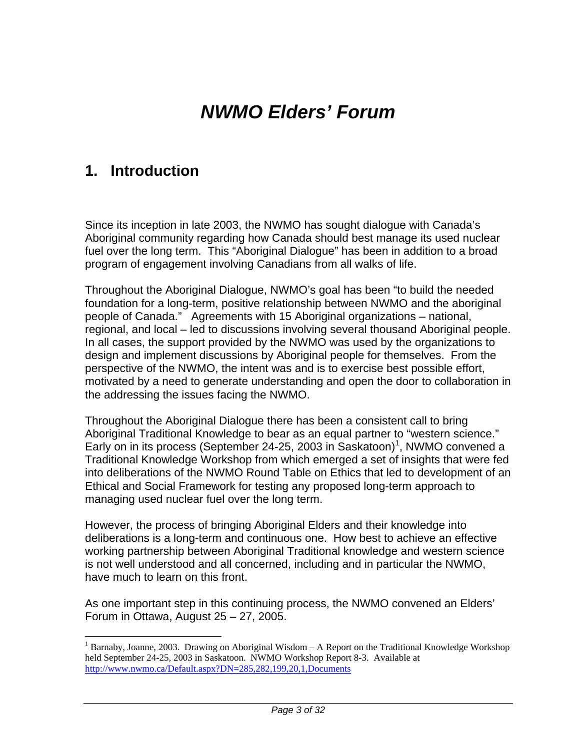# *NWMO Elders' Forum*

## **1. Introduction**

 $\overline{a}$ 

Since its inception in late 2003, the NWMO has sought dialogue with Canada's Aboriginal community regarding how Canada should best manage its used nuclear fuel over the long term. This "Aboriginal Dialogue" has been in addition to a broad program of engagement involving Canadians from all walks of life.

Throughout the Aboriginal Dialogue, NWMO's goal has been "to build the needed foundation for a long-term, positive relationship between NWMO and the aboriginal people of Canada." Agreements with 15 Aboriginal organizations – national, regional, and local – led to discussions involving several thousand Aboriginal people. In all cases, the support provided by the NWMO was used by the organizations to design and implement discussions by Aboriginal people for themselves. From the perspective of the NWMO, the intent was and is to exercise best possible effort, motivated by a need to generate understanding and open the door to collaboration in the addressing the issues facing the NWMO.

Throughout the Aboriginal Dialogue there has been a consistent call to bring Aboriginal Traditional Knowledge to bear as an equal partner to "western science." Early on in its process (September 24-25, 2003 in Saskatoon)<sup>1</sup>, NWMO convened a Traditional Knowledge Workshop from which emerged a set of insights that were fed into deliberations of the NWMO Round Table on Ethics that led to development of an Ethical and Social Framework for testing any proposed long-term approach to managing used nuclear fuel over the long term.

However, the process of bringing Aboriginal Elders and their knowledge into deliberations is a long-term and continuous one. How best to achieve an effective working partnership between Aboriginal Traditional knowledge and western science is not well understood and all concerned, including and in particular the NWMO, have much to learn on this front.

As one important step in this continuing process, the NWMO convened an Elders' Forum in Ottawa, August 25 – 27, 2005.

<sup>&</sup>lt;sup>1</sup> Barnaby, Joanne, 2003. Drawing on Aboriginal Wisdom – A Report on the Traditional Knowledge Workshop held September 24-25, 2003 in Saskatoon. NWMO Workshop Report 8-3. Available at http://www.nwmo.ca/Default.aspx?DN=285,282,199,20,1,Documents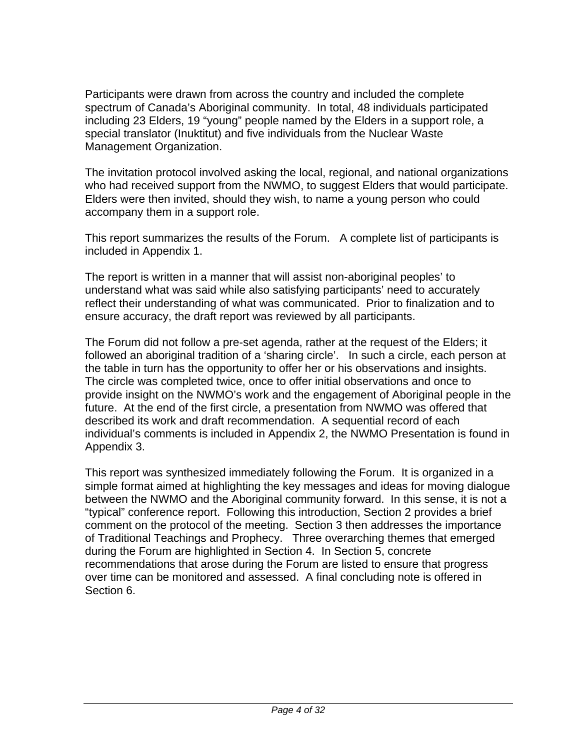Participants were drawn from across the country and included the complete spectrum of Canada's Aboriginal community. In total, 48 individuals participated including 23 Elders, 19 "young" people named by the Elders in a support role, a special translator (Inuktitut) and five individuals from the Nuclear Waste Management Organization.

The invitation protocol involved asking the local, regional, and national organizations who had received support from the NWMO, to suggest Elders that would participate. Elders were then invited, should they wish, to name a young person who could accompany them in a support role.

This report summarizes the results of the Forum. A complete list of participants is included in Appendix 1.

The report is written in a manner that will assist non-aboriginal peoples' to understand what was said while also satisfying participants' need to accurately reflect their understanding of what was communicated. Prior to finalization and to ensure accuracy, the draft report was reviewed by all participants.

The Forum did not follow a pre-set agenda, rather at the request of the Elders; it followed an aboriginal tradition of a 'sharing circle'. In such a circle, each person at the table in turn has the opportunity to offer her or his observations and insights. The circle was completed twice, once to offer initial observations and once to provide insight on the NWMO's work and the engagement of Aboriginal people in the future. At the end of the first circle, a presentation from NWMO was offered that described its work and draft recommendation. A sequential record of each individual's comments is included in Appendix 2, the NWMO Presentation is found in Appendix 3.

This report was synthesized immediately following the Forum. It is organized in a simple format aimed at highlighting the key messages and ideas for moving dialogue between the NWMO and the Aboriginal community forward. In this sense, it is not a "typical" conference report. Following this introduction, Section 2 provides a brief comment on the protocol of the meeting. Section 3 then addresses the importance of Traditional Teachings and Prophecy. Three overarching themes that emerged during the Forum are highlighted in Section 4. In Section 5, concrete recommendations that arose during the Forum are listed to ensure that progress over time can be monitored and assessed. A final concluding note is offered in Section 6.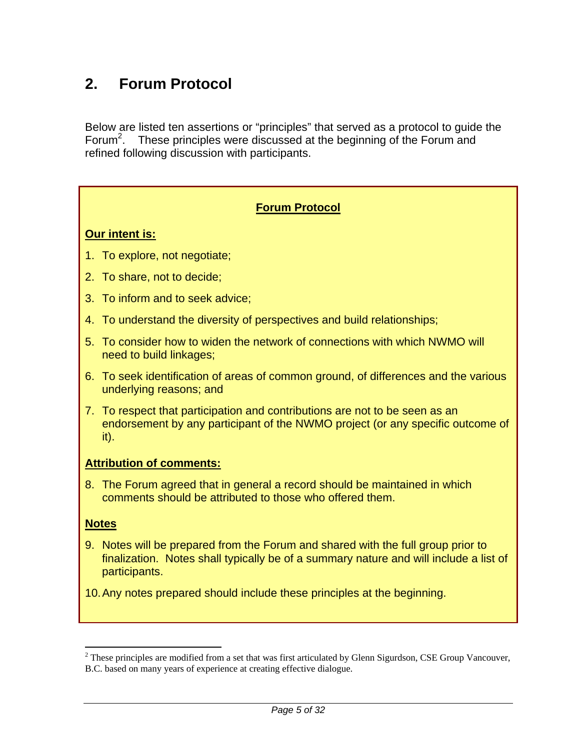## **2. Forum Protocol**

Below are listed ten assertions or "principles" that served as a protocol to guide the Forum<sup>2</sup>. These principles were discussed at the beginning of the Forum and refined following discussion with participants.

### **Forum Protocol**

#### **Our intent is:**

- 1. To explore, not negotiate;
- 2. To share, not to decide;
- 3. To inform and to seek advice;
- 4. To understand the diversity of perspectives and build relationships;
- 5. To consider how to widen the network of connections with which NWMO will need to build linkages;
- 6. To seek identification of areas of common ground, of differences and the various underlying reasons; and
- 7. To respect that participation and contributions are not to be seen as an endorsement by any participant of the NWMO project (or any specific outcome of it).

#### **Attribution of comments:**

8. The Forum agreed that in general a record should be maintained in which comments should be attributed to those who offered them.

#### **Notes**

 $\overline{a}$ 

- 9. Notes will be prepared from the Forum and shared with the full group prior to finalization. Notes shall typically be of a summary nature and will include a list of participants.
- 10. Any notes prepared should include these principles at the beginning.

 $2$  These principles are modified from a set that was first articulated by Glenn Sigurdson, CSE Group Vancouver, B.C. based on many years of experience at creating effective dialogue.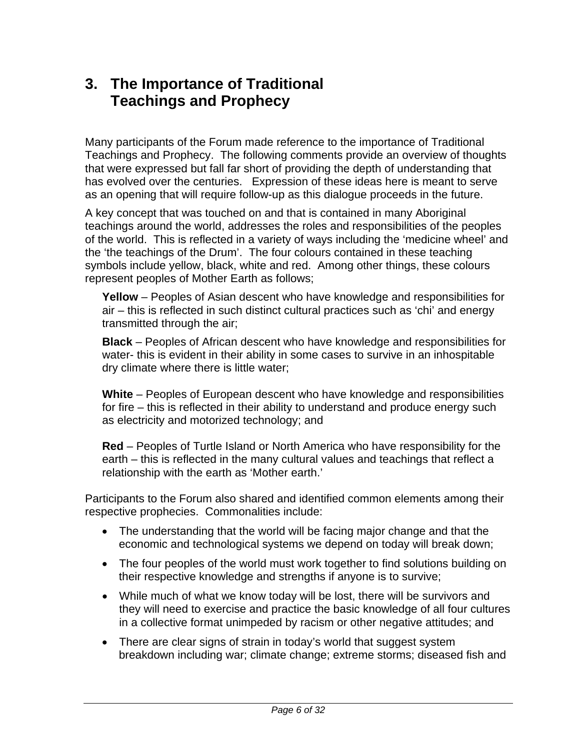## **3. The Importance of Traditional Teachings and Prophecy**

Many participants of the Forum made reference to the importance of Traditional Teachings and Prophecy. The following comments provide an overview of thoughts that were expressed but fall far short of providing the depth of understanding that has evolved over the centuries. Expression of these ideas here is meant to serve as an opening that will require follow-up as this dialogue proceeds in the future.

A key concept that was touched on and that is contained in many Aboriginal teachings around the world, addresses the roles and responsibilities of the peoples of the world. This is reflected in a variety of ways including the 'medicine wheel' and the 'the teachings of the Drum'. The four colours contained in these teaching symbols include yellow, black, white and red. Among other things, these colours represent peoples of Mother Earth as follows;

**Yellow** – Peoples of Asian descent who have knowledge and responsibilities for air – this is reflected in such distinct cultural practices such as 'chi' and energy transmitted through the air;

**Black** – Peoples of African descent who have knowledge and responsibilities for water- this is evident in their ability in some cases to survive in an inhospitable dry climate where there is little water;

**White** – Peoples of European descent who have knowledge and responsibilities for fire – this is reflected in their ability to understand and produce energy such as electricity and motorized technology; and

**Red** – Peoples of Turtle Island or North America who have responsibility for the earth – this is reflected in the many cultural values and teachings that reflect a relationship with the earth as 'Mother earth.'

Participants to the Forum also shared and identified common elements among their respective prophecies. Commonalities include:

- The understanding that the world will be facing major change and that the economic and technological systems we depend on today will break down;
- The four peoples of the world must work together to find solutions building on their respective knowledge and strengths if anyone is to survive;
- While much of what we know today will be lost, there will be survivors and they will need to exercise and practice the basic knowledge of all four cultures in a collective format unimpeded by racism or other negative attitudes; and
- There are clear signs of strain in today's world that suggest system breakdown including war; climate change; extreme storms; diseased fish and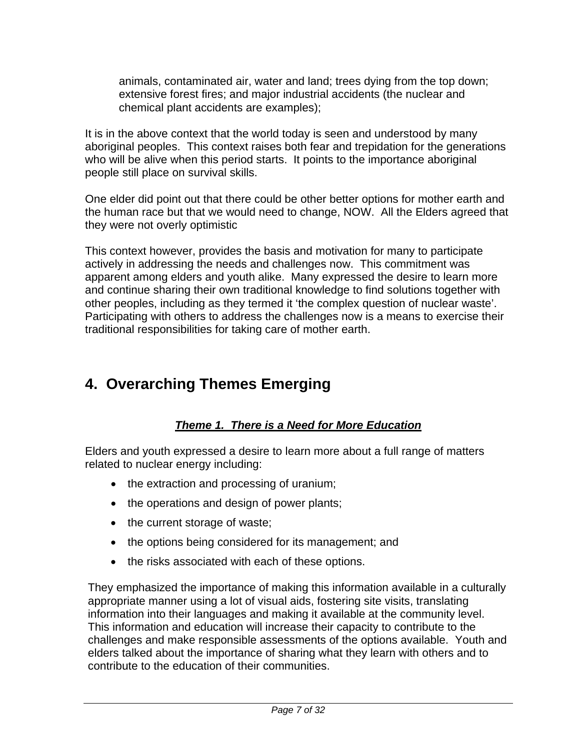animals, contaminated air, water and land; trees dying from the top down; extensive forest fires; and major industrial accidents (the nuclear and chemical plant accidents are examples);

It is in the above context that the world today is seen and understood by many aboriginal peoples. This context raises both fear and trepidation for the generations who will be alive when this period starts. It points to the importance aboriginal people still place on survival skills.

One elder did point out that there could be other better options for mother earth and the human race but that we would need to change, NOW. All the Elders agreed that they were not overly optimistic

This context however, provides the basis and motivation for many to participate actively in addressing the needs and challenges now. This commitment was apparent among elders and youth alike. Many expressed the desire to learn more and continue sharing their own traditional knowledge to find solutions together with other peoples, including as they termed it 'the complex question of nuclear waste'. Participating with others to address the challenges now is a means to exercise their traditional responsibilities for taking care of mother earth.

## **4. Overarching Themes Emerging**

### *Theme 1. There is a Need for More Education*

Elders and youth expressed a desire to learn more about a full range of matters related to nuclear energy including:

- the extraction and processing of uranium;
- the operations and design of power plants;
- the current storage of waste;
- the options being considered for its management; and
- the risks associated with each of these options.

They emphasized the importance of making this information available in a culturally appropriate manner using a lot of visual aids, fostering site visits, translating information into their languages and making it available at the community level. This information and education will increase their capacity to contribute to the challenges and make responsible assessments of the options available. Youth and elders talked about the importance of sharing what they learn with others and to contribute to the education of their communities.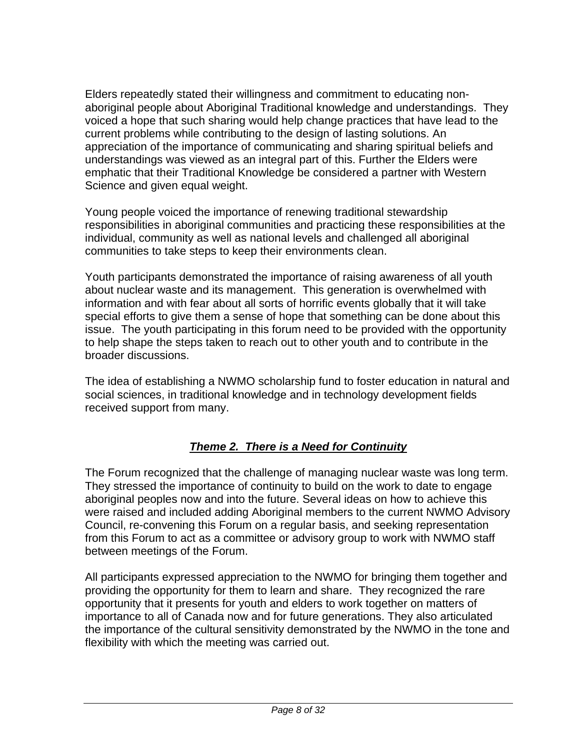Elders repeatedly stated their willingness and commitment to educating nonaboriginal people about Aboriginal Traditional knowledge and understandings. They voiced a hope that such sharing would help change practices that have lead to the current problems while contributing to the design of lasting solutions. An appreciation of the importance of communicating and sharing spiritual beliefs and understandings was viewed as an integral part of this. Further the Elders were emphatic that their Traditional Knowledge be considered a partner with Western Science and given equal weight.

Young people voiced the importance of renewing traditional stewardship responsibilities in aboriginal communities and practicing these responsibilities at the individual, community as well as national levels and challenged all aboriginal communities to take steps to keep their environments clean.

Youth participants demonstrated the importance of raising awareness of all youth about nuclear waste and its management. This generation is overwhelmed with information and with fear about all sorts of horrific events globally that it will take special efforts to give them a sense of hope that something can be done about this issue. The youth participating in this forum need to be provided with the opportunity to help shape the steps taken to reach out to other youth and to contribute in the broader discussions.

The idea of establishing a NWMO scholarship fund to foster education in natural and social sciences, in traditional knowledge and in technology development fields received support from many.

### *Theme 2. There is a Need for Continuity*

The Forum recognized that the challenge of managing nuclear waste was long term. They stressed the importance of continuity to build on the work to date to engage aboriginal peoples now and into the future. Several ideas on how to achieve this were raised and included adding Aboriginal members to the current NWMO Advisory Council, re-convening this Forum on a regular basis, and seeking representation from this Forum to act as a committee or advisory group to work with NWMO staff between meetings of the Forum.

All participants expressed appreciation to the NWMO for bringing them together and providing the opportunity for them to learn and share. They recognized the rare opportunity that it presents for youth and elders to work together on matters of importance to all of Canada now and for future generations. They also articulated the importance of the cultural sensitivity demonstrated by the NWMO in the tone and flexibility with which the meeting was carried out.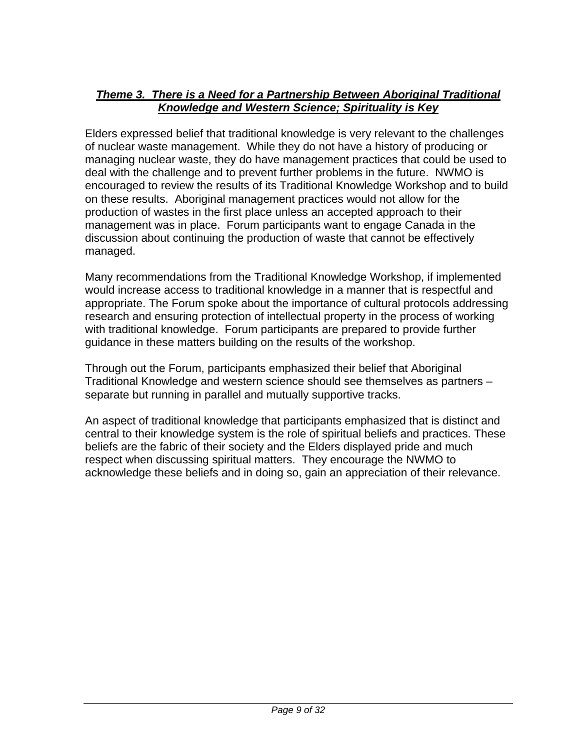### *Theme 3. There is a Need for a Partnership Between Aboriginal Traditional Knowledge and Western Science; Spirituality is Key*

Elders expressed belief that traditional knowledge is very relevant to the challenges of nuclear waste management. While they do not have a history of producing or managing nuclear waste, they do have management practices that could be used to deal with the challenge and to prevent further problems in the future. NWMO is encouraged to review the results of its Traditional Knowledge Workshop and to build on these results. Aboriginal management practices would not allow for the production of wastes in the first place unless an accepted approach to their management was in place. Forum participants want to engage Canada in the discussion about continuing the production of waste that cannot be effectively managed.

Many recommendations from the Traditional Knowledge Workshop, if implemented would increase access to traditional knowledge in a manner that is respectful and appropriate. The Forum spoke about the importance of cultural protocols addressing research and ensuring protection of intellectual property in the process of working with traditional knowledge. Forum participants are prepared to provide further guidance in these matters building on the results of the workshop.

Through out the Forum, participants emphasized their belief that Aboriginal Traditional Knowledge and western science should see themselves as partners – separate but running in parallel and mutually supportive tracks.

An aspect of traditional knowledge that participants emphasized that is distinct and central to their knowledge system is the role of spiritual beliefs and practices. These beliefs are the fabric of their society and the Elders displayed pride and much respect when discussing spiritual matters. They encourage the NWMO to acknowledge these beliefs and in doing so, gain an appreciation of their relevance.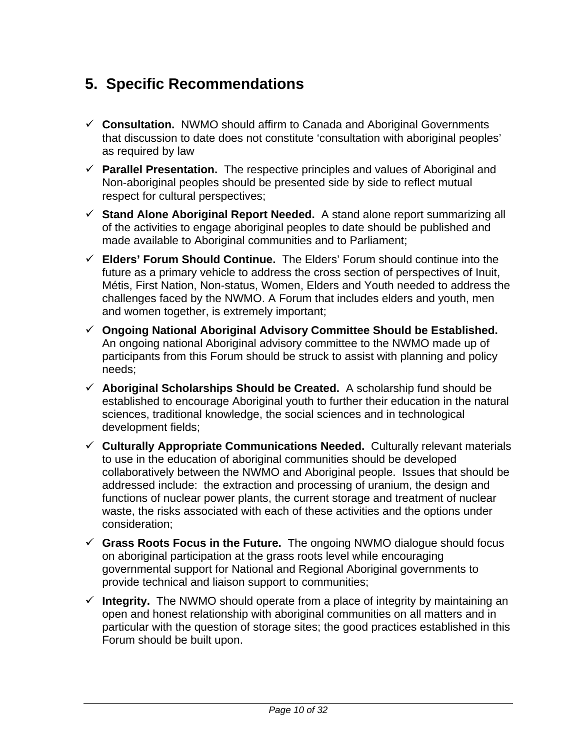## **5. Specific Recommendations**

- 9 **Consultation.** NWMO should affirm to Canada and Aboriginal Governments that discussion to date does not constitute 'consultation with aboriginal peoples' as required by law
- $\checkmark$  **Parallel Presentation.** The respective principles and values of Aboriginal and Non-aboriginal peoples should be presented side by side to reflect mutual respect for cultural perspectives;
- $\checkmark$  Stand Alone Aboriginal Report Needed. A stand alone report summarizing all of the activities to engage aboriginal peoples to date should be published and made available to Aboriginal communities and to Parliament;
- 9 **Elders' Forum Should Continue.** The Elders' Forum should continue into the future as a primary vehicle to address the cross section of perspectives of Inuit, Métis, First Nation, Non-status, Women, Elders and Youth needed to address the challenges faced by the NWMO. A Forum that includes elders and youth, men and women together, is extremely important;
- 9 **Ongoing National Aboriginal Advisory Committee Should be Established.** An ongoing national Aboriginal advisory committee to the NWMO made up of participants from this Forum should be struck to assist with planning and policy needs;
- $\checkmark$  Aboriginal Scholarships Should be Created. A scholarship fund should be established to encourage Aboriginal youth to further their education in the natural sciences, traditional knowledge, the social sciences and in technological development fields;
- 9 **Culturally Appropriate Communications Needed.** Culturally relevant materials to use in the education of aboriginal communities should be developed collaboratively between the NWMO and Aboriginal people. Issues that should be addressed include: the extraction and processing of uranium, the design and functions of nuclear power plants, the current storage and treatment of nuclear waste, the risks associated with each of these activities and the options under consideration;
- 9 **Grass Roots Focus in the Future.** The ongoing NWMO dialogue should focus on aboriginal participation at the grass roots level while encouraging governmental support for National and Regional Aboriginal governments to provide technical and liaison support to communities;
- $\checkmark$  Integrity. The NWMO should operate from a place of integrity by maintaining an open and honest relationship with aboriginal communities on all matters and in particular with the question of storage sites; the good practices established in this Forum should be built upon.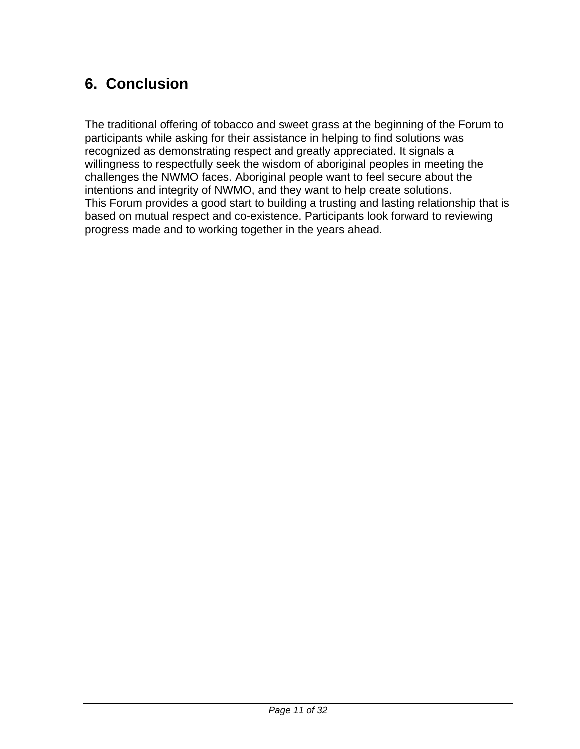## **6. Conclusion**

The traditional offering of tobacco and sweet grass at the beginning of the Forum to participants while asking for their assistance in helping to find solutions was recognized as demonstrating respect and greatly appreciated. It signals a willingness to respectfully seek the wisdom of aboriginal peoples in meeting the challenges the NWMO faces. Aboriginal people want to feel secure about the intentions and integrity of NWMO, and they want to help create solutions. This Forum provides a good start to building a trusting and lasting relationship that is based on mutual respect and co-existence. Participants look forward to reviewing progress made and to working together in the years ahead.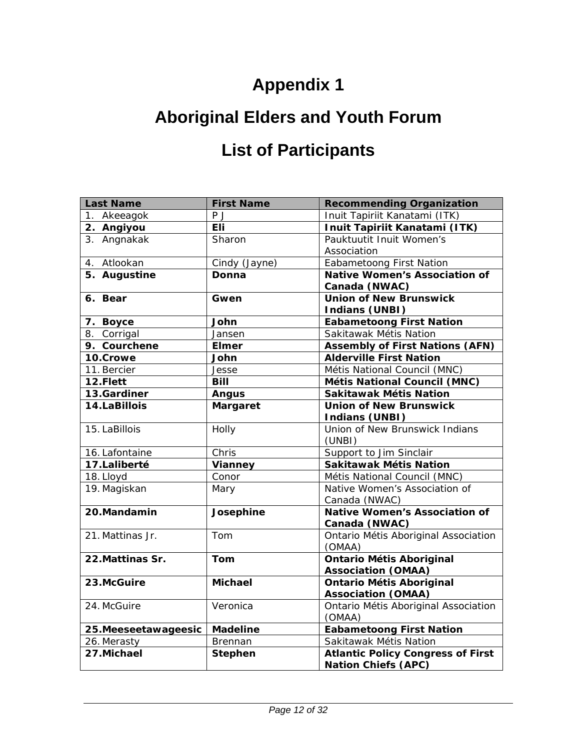# **Appendix 1**

# **Aboriginal Elders and Youth Forum**

# **List of Participants**

| <b>Last Name</b>     | <b>First Name</b> | <b>Recommending Organization</b>                                       |
|----------------------|-------------------|------------------------------------------------------------------------|
| 1. Akeeagok          | P J               | Inuit Tapiriit Kanatami (ITK)                                          |
| 2. Angiyou           | Eli               | Inuit Tapiriit Kanatami (ITK)                                          |
| 3. Angnakak          | Sharon            | Pauktuutit Inuit Women's                                               |
|                      |                   | Association                                                            |
| 4. Atlookan          | Cindy (Jayne)     | <b>Eabametoong First Nation</b>                                        |
| 5. Augustine         | Donna             | <b>Native Women's Association of</b>                                   |
|                      |                   | Canada (NWAC)                                                          |
| 6. Bear              | Gwen              | <b>Union of New Brunswick</b>                                          |
|                      |                   | <b>Indians (UNBI)</b>                                                  |
| 7. Boyce             | John              | <b>Eabametoong First Nation</b>                                        |
| 8. Corrigal          | Jansen            | Sakitawak Métis Nation                                                 |
| 9. Courchene         | <b>Elmer</b>      | <b>Assembly of First Nations (AFN)</b>                                 |
| 10.Crowe             | John              | <b>Alderville First Nation</b>                                         |
| 11. Bercier          | Jesse             | Métis National Council (MNC)                                           |
| 12.Flett             | <b>Bill</b>       | Métis National Council (MNC)                                           |
| 13.Gardiner          | <b>Angus</b>      | Sakitawak Métis Nation                                                 |
| 14.LaBillois         | <b>Margaret</b>   | <b>Union of New Brunswick</b>                                          |
|                      |                   | <b>Indians (UNBI)</b>                                                  |
| 15. LaBillois        | Holly             | Union of New Brunswick Indians                                         |
|                      |                   | (UNBI)                                                                 |
| 16. Lafontaine       | Chris             | Support to Jim Sinclair                                                |
| 17.Laliberté         | Vianney           | Sakitawak Métis Nation                                                 |
| 18. Lloyd            | Conor             | Métis National Council (MNC)                                           |
| 19. Magiskan         | Mary              | Native Women's Association of                                          |
|                      |                   | Canada (NWAC)                                                          |
| 20.Mandamin          | Josephine         | <b>Native Women's Association of</b>                                   |
|                      |                   | Canada (NWAC)                                                          |
| 21. Mattinas Jr.     | Tom               | Ontario Métis Aboriginal Association                                   |
|                      |                   | (OMAA)                                                                 |
| 22. Mattinas Sr.     | Tom               | <b>Ontario Métis Aboriginal</b>                                        |
|                      |                   | <b>Association (OMAA)</b>                                              |
| 23.McGuire           | <b>Michael</b>    | <b>Ontario Métis Aboriginal</b>                                        |
|                      |                   | <b>Association (OMAA)</b>                                              |
| 24. McGuire          | Veronica          | Ontario Métis Aboriginal Association                                   |
|                      |                   | (OMAA)                                                                 |
| 25. Meeseetawageesic | <b>Madeline</b>   | <b>Eabametoong First Nation</b>                                        |
| 26. Merasty          | Brennan           | Sakitawak Métis Nation                                                 |
| 27.Michael           | <b>Stephen</b>    | <b>Atlantic Policy Congress of First</b><br><b>Nation Chiefs (APC)</b> |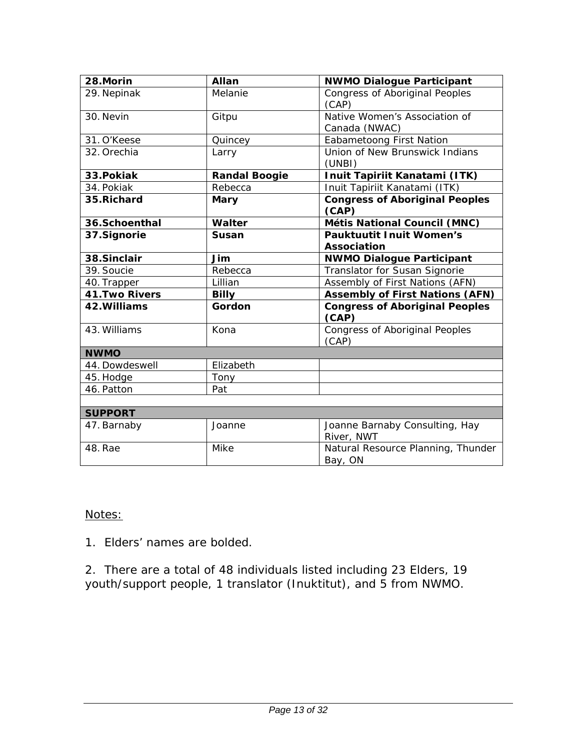| 28.Morin              | Allan                | <b>NWMO Dialogue Participant</b>               |
|-----------------------|----------------------|------------------------------------------------|
| 29. Nepinak           | Melanie              | <b>Congress of Aboriginal Peoples</b><br>(CAP) |
| 30. Nevin             | Gitpu                | Native Women's Association of<br>Canada (NWAC) |
| 31. O'Keese           | Quincey              | <b>Eabametoong First Nation</b>                |
| 32. Orechia           | Larry                | Union of New Brunswick Indians<br>(UNBI)       |
| 33. Pokiak            | <b>Randal Boogie</b> | Inuit Tapiriit Kanatami (ITK)                  |
| 34. Pokiak            | Rebecca              | Inuit Tapiriit Kanatami (ITK)                  |
| 35.Richard            | Mary                 | <b>Congress of Aboriginal Peoples</b><br>(CAP) |
| 36.Schoenthal         | <b>Walter</b>        | Métis National Council (MNC)                   |
| 37.Signorie           | <b>Susan</b>         | <b>Pauktuutit Inuit Women's</b>                |
|                       |                      | <b>Association</b>                             |
| 38.Sinclair           | Jim                  | <b>NWMO Dialogue Participant</b>               |
| 39. Soucie            | Rebecca              | Translator for Susan Signorie                  |
| 40. Trapper           | Lillian              | Assembly of First Nations (AFN)                |
| <b>41. Two Rivers</b> | <b>Billy</b>         | <b>Assembly of First Nations (AFN)</b>         |
| 42. Williams          | Gordon               | <b>Congress of Aboriginal Peoples</b><br>(CAP) |
| 43. Williams          | Kona                 | <b>Congress of Aboriginal Peoples</b><br>(CAP) |
| <b>NWMO</b>           |                      |                                                |
| 44. Dowdeswell        | Elizabeth            |                                                |
| 45. Hodge             | Tony                 |                                                |
| 46. Patton            | Pat                  |                                                |
|                       |                      |                                                |
| <b>SUPPORT</b>        |                      |                                                |
| 47. Barnaby           | Joanne               | Joanne Barnaby Consulting, Hay<br>River, NWT   |
| 48. Rae               | Mike                 | Natural Resource Planning, Thunder<br>Bay, ON  |

### Notes:

1. Elders' names are bolded.

2. There are a total of 48 individuals listed including 23 Elders, 19 youth/support people, 1 translator (Inuktitut), and 5 from NWMO.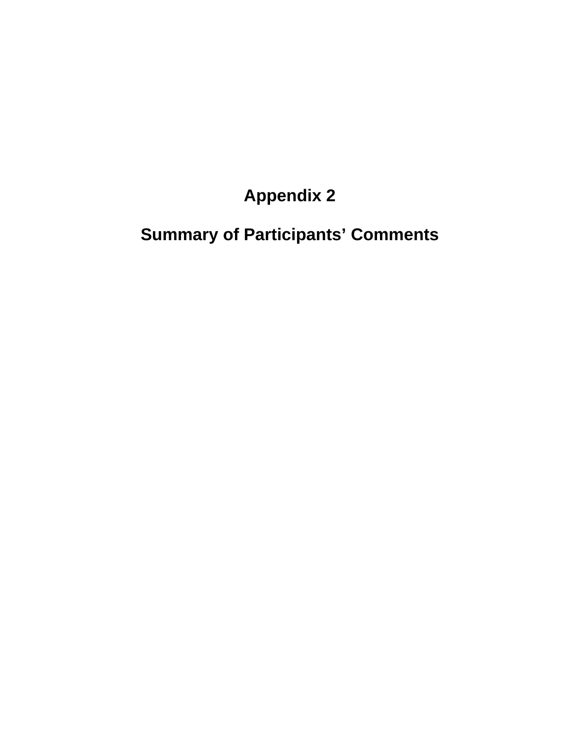# **Appendix 2**

# **Summary of Participants' Comments**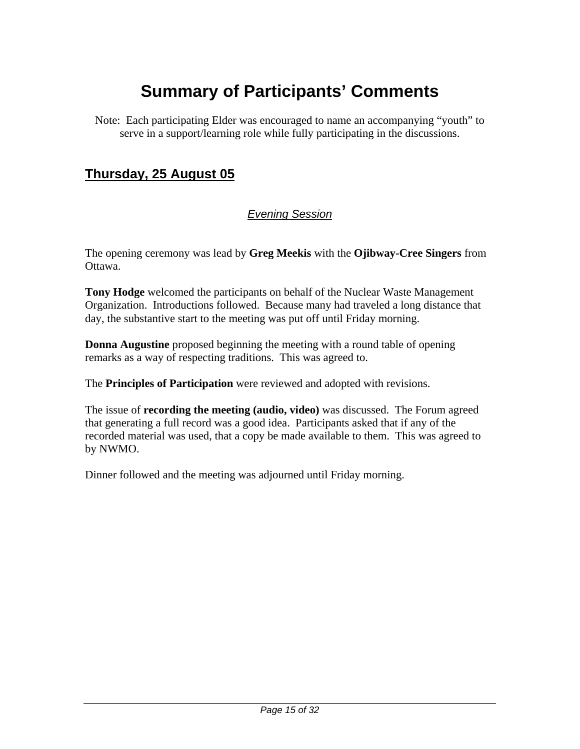## **Summary of Participants' Comments**

Note: Each participating Elder was encouraged to name an accompanying "youth" to serve in a support/learning role while fully participating in the discussions.

### **Thursday, 25 August 05**

### *Evening Session*

The opening ceremony was lead by **Greg Meekis** with the **Ojibway-Cree Singers** from Ottawa.

**Tony Hodge** welcomed the participants on behalf of the Nuclear Waste Management Organization. Introductions followed. Because many had traveled a long distance that day, the substantive start to the meeting was put off until Friday morning.

**Donna Augustine** proposed beginning the meeting with a round table of opening remarks as a way of respecting traditions. This was agreed to.

The **Principles of Participation** were reviewed and adopted with revisions.

The issue of **recording the meeting (audio, video)** was discussed. The Forum agreed that generating a full record was a good idea. Participants asked that if any of the recorded material was used, that a copy be made available to them. This was agreed to by NWMO.

Dinner followed and the meeting was adjourned until Friday morning.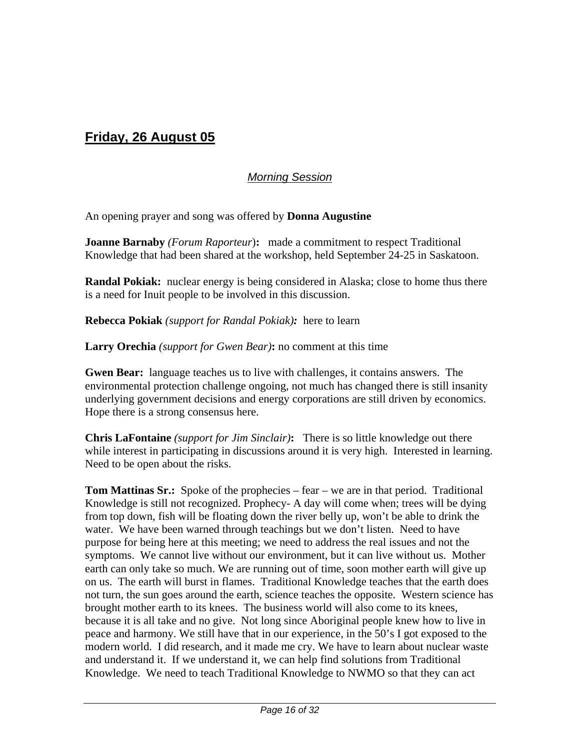## **Friday, 26 August 05**

#### *Morning Session*

An opening prayer and song was offered by **Donna Augustine**

**Joanne Barnaby** *(Forum Raporteur*)**:** made a commitment to respect Traditional Knowledge that had been shared at the workshop, held September 24-25 in Saskatoon.

**Randal Pokiak:** nuclear energy is being considered in Alaska; close to home thus there is a need for Inuit people to be involved in this discussion.

**Rebecca Pokiak** *(support for Randal Pokiak):* here to learn

**Larry Orechia** *(support for Gwen Bear)***:** no comment at this time

**Gwen Bear:** language teaches us to live with challenges, it contains answers. The environmental protection challenge ongoing, not much has changed there is still insanity underlying government decisions and energy corporations are still driven by economics. Hope there is a strong consensus here.

**Chris LaFontaine** *(support for Jim Sinclair)***:** There is so little knowledge out there while interest in participating in discussions around it is very high. Interested in learning. Need to be open about the risks.

**Tom Mattinas Sr.:** Spoke of the prophecies – fear – we are in that period. Traditional Knowledge is still not recognized. Prophecy- A day will come when; trees will be dying from top down, fish will be floating down the river belly up, won't be able to drink the water. We have been warned through teachings but we don't listen. Need to have purpose for being here at this meeting; we need to address the real issues and not the symptoms. We cannot live without our environment, but it can live without us. Mother earth can only take so much. We are running out of time, soon mother earth will give up on us. The earth will burst in flames. Traditional Knowledge teaches that the earth does not turn, the sun goes around the earth, science teaches the opposite. Western science has brought mother earth to its knees. The business world will also come to its knees, because it is all take and no give. Not long since Aboriginal people knew how to live in peace and harmony. We still have that in our experience, in the 50's I got exposed to the modern world. I did research, and it made me cry. We have to learn about nuclear waste and understand it. If we understand it, we can help find solutions from Traditional Knowledge. We need to teach Traditional Knowledge to NWMO so that they can act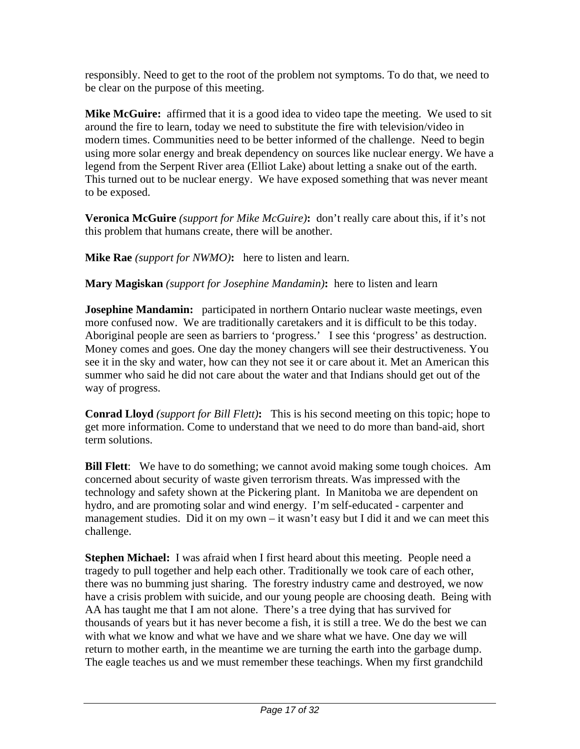responsibly. Need to get to the root of the problem not symptoms. To do that, we need to be clear on the purpose of this meeting.

**Mike McGuire:** affirmed that it is a good idea to video tape the meeting. We used to sit around the fire to learn, today we need to substitute the fire with television/video in modern times. Communities need to be better informed of the challenge. Need to begin using more solar energy and break dependency on sources like nuclear energy. We have a legend from the Serpent River area (Elliot Lake) about letting a snake out of the earth. This turned out to be nuclear energy. We have exposed something that was never meant to be exposed.

**Veronica McGuire** *(support for Mike McGuire)***:** don't really care about this, if it's not this problem that humans create, there will be another.

**Mike Rae** *(support for NWMO)***:** here to listen and learn.

**Mary Magiskan** *(support for Josephine Mandamin)***:** here to listen and learn

**Josephine Mandamin:** participated in northern Ontario nuclear waste meetings, even more confused now. We are traditionally caretakers and it is difficult to be this today. Aboriginal people are seen as barriers to 'progress.' I see this 'progress' as destruction. Money comes and goes. One day the money changers will see their destructiveness. You see it in the sky and water, how can they not see it or care about it. Met an American this summer who said he did not care about the water and that Indians should get out of the way of progress.

**Conrad Lloyd** *(support for Bill Flett)***:** This is his second meeting on this topic; hope to get more information. Come to understand that we need to do more than band-aid, short term solutions.

**Bill Flett**: We have to do something; we cannot avoid making some tough choices. Am concerned about security of waste given terrorism threats. Was impressed with the technology and safety shown at the Pickering plant. In Manitoba we are dependent on hydro, and are promoting solar and wind energy. I'm self-educated - carpenter and management studies. Did it on my own – it wasn't easy but I did it and we can meet this challenge.

**Stephen Michael:** I was afraid when I first heard about this meeting. People need a tragedy to pull together and help each other. Traditionally we took care of each other, there was no bumming just sharing. The forestry industry came and destroyed, we now have a crisis problem with suicide, and our young people are choosing death. Being with AA has taught me that I am not alone. There's a tree dying that has survived for thousands of years but it has never become a fish, it is still a tree. We do the best we can with what we know and what we have and we share what we have. One day we will return to mother earth, in the meantime we are turning the earth into the garbage dump. The eagle teaches us and we must remember these teachings. When my first grandchild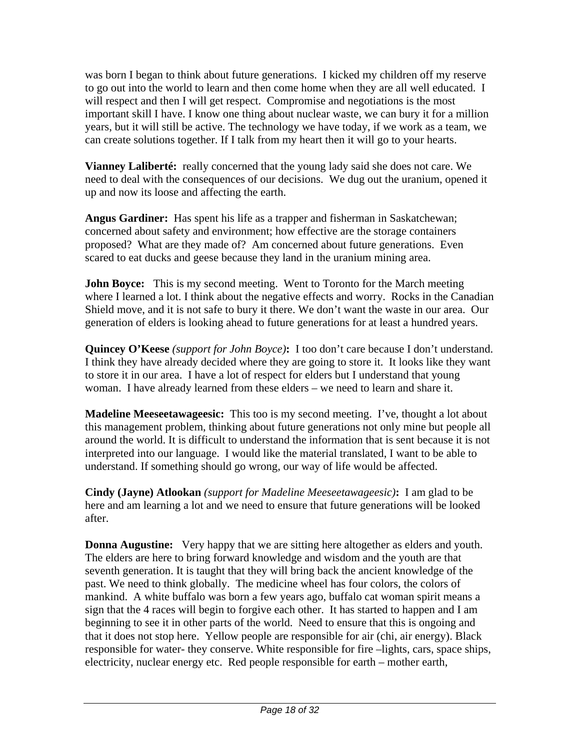was born I began to think about future generations. I kicked my children off my reserve to go out into the world to learn and then come home when they are all well educated. I will respect and then I will get respect. Compromise and negotiations is the most important skill I have. I know one thing about nuclear waste, we can bury it for a million years, but it will still be active. The technology we have today, if we work as a team, we can create solutions together. If I talk from my heart then it will go to your hearts.

**Vianney Laliberté:** really concerned that the young lady said she does not care. We need to deal with the consequences of our decisions. We dug out the uranium, opened it up and now its loose and affecting the earth.

**Angus Gardiner:** Has spent his life as a trapper and fisherman in Saskatchewan; concerned about safety and environment; how effective are the storage containers proposed? What are they made of? Am concerned about future generations. Even scared to eat ducks and geese because they land in the uranium mining area.

**John Boyce:** This is my second meeting. Went to Toronto for the March meeting where I learned a lot. I think about the negative effects and worry. Rocks in the Canadian Shield move, and it is not safe to bury it there. We don't want the waste in our area. Our generation of elders is looking ahead to future generations for at least a hundred years.

**Quincey O'Keese** *(support for John Boyce)***:** I too don't care because I don't understand. I think they have already decided where they are going to store it. It looks like they want to store it in our area. I have a lot of respect for elders but I understand that young woman. I have already learned from these elders – we need to learn and share it.

**Madeline Meeseetawageesic:** This too is my second meeting. I've, thought a lot about this management problem, thinking about future generations not only mine but people all around the world. It is difficult to understand the information that is sent because it is not interpreted into our language. I would like the material translated, I want to be able to understand. If something should go wrong, our way of life would be affected.

**Cindy (Jayne) Atlookan** *(support for Madeline Meeseetawageesic)***:** I am glad to be here and am learning a lot and we need to ensure that future generations will be looked after.

**Donna Augustine:** Very happy that we are sitting here altogether as elders and youth. The elders are here to bring forward knowledge and wisdom and the youth are that seventh generation. It is taught that they will bring back the ancient knowledge of the past. We need to think globally. The medicine wheel has four colors, the colors of mankind. A white buffalo was born a few years ago, buffalo cat woman spirit means a sign that the 4 races will begin to forgive each other. It has started to happen and I am beginning to see it in other parts of the world. Need to ensure that this is ongoing and that it does not stop here. Yellow people are responsible for air (chi, air energy). Black responsible for water- they conserve. White responsible for fire –lights, cars, space ships, electricity, nuclear energy etc. Red people responsible for earth – mother earth,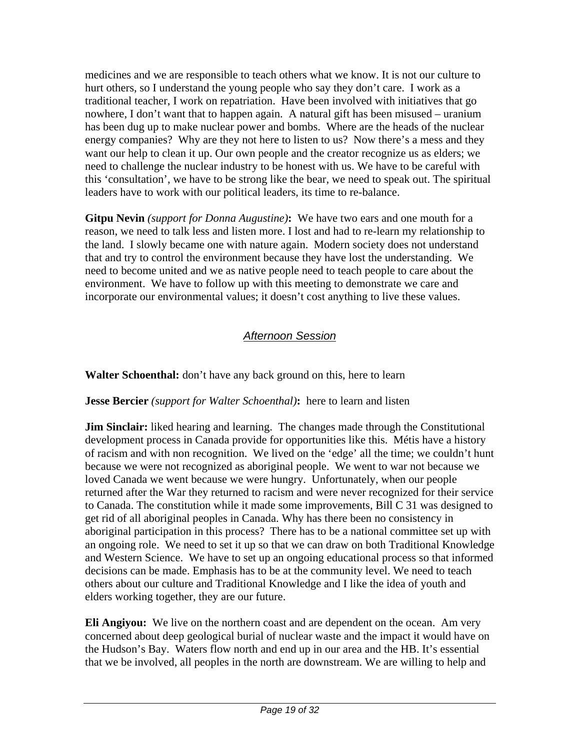medicines and we are responsible to teach others what we know. It is not our culture to hurt others, so I understand the young people who say they don't care. I work as a traditional teacher, I work on repatriation. Have been involved with initiatives that go nowhere, I don't want that to happen again. A natural gift has been misused – uranium has been dug up to make nuclear power and bombs. Where are the heads of the nuclear energy companies? Why are they not here to listen to us? Now there's a mess and they want our help to clean it up. Our own people and the creator recognize us as elders; we need to challenge the nuclear industry to be honest with us. We have to be careful with this 'consultation', we have to be strong like the bear, we need to speak out. The spiritual leaders have to work with our political leaders, its time to re-balance.

**Gitpu Nevin** *(support for Donna Augustine)***:** We have two ears and one mouth for a reason, we need to talk less and listen more. I lost and had to re-learn my relationship to the land. I slowly became one with nature again. Modern society does not understand that and try to control the environment because they have lost the understanding. We need to become united and we as native people need to teach people to care about the environment. We have to follow up with this meeting to demonstrate we care and incorporate our environmental values; it doesn't cost anything to live these values.

### *Afternoon Session*

**Walter Schoenthal:** don't have any back ground on this, here to learn

#### **Jesse Bercier** *(support for Walter Schoenthal)***:** here to learn and listen

**Jim Sinclair:** liked hearing and learning. The changes made through the Constitutional development process in Canada provide for opportunities like this. Métis have a history of racism and with non recognition. We lived on the 'edge' all the time; we couldn't hunt because we were not recognized as aboriginal people. We went to war not because we loved Canada we went because we were hungry. Unfortunately, when our people returned after the War they returned to racism and were never recognized for their service to Canada. The constitution while it made some improvements, Bill C 31 was designed to get rid of all aboriginal peoples in Canada. Why has there been no consistency in aboriginal participation in this process? There has to be a national committee set up with an ongoing role. We need to set it up so that we can draw on both Traditional Knowledge and Western Science. We have to set up an ongoing educational process so that informed decisions can be made. Emphasis has to be at the community level. We need to teach others about our culture and Traditional Knowledge and I like the idea of youth and elders working together, they are our future.

**Eli Angiyou:** We live on the northern coast and are dependent on the ocean. Am very concerned about deep geological burial of nuclear waste and the impact it would have on the Hudson's Bay. Waters flow north and end up in our area and the HB. It's essential that we be involved, all peoples in the north are downstream. We are willing to help and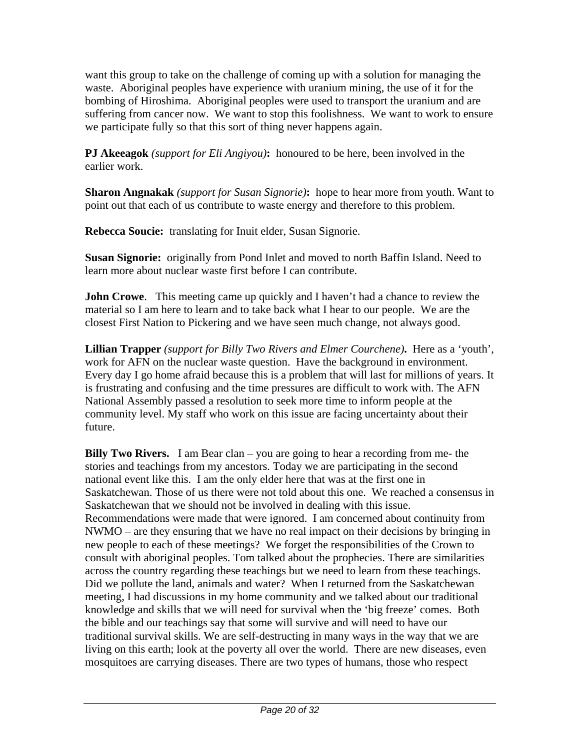want this group to take on the challenge of coming up with a solution for managing the waste. Aboriginal peoples have experience with uranium mining, the use of it for the bombing of Hiroshima. Aboriginal peoples were used to transport the uranium and are suffering from cancer now. We want to stop this foolishness. We want to work to ensure we participate fully so that this sort of thing never happens again.

**PJ Akeeagok** *(support for Eli Angiyou)***:** honoured to be here, been involved in the earlier work.

**Sharon Angnakak** *(support for Susan Signorie)***:** hope to hear more from youth. Want to point out that each of us contribute to waste energy and therefore to this problem.

**Rebecca Soucie:** translating for Inuit elder, Susan Signorie.

**Susan Signorie:** originally from Pond Inlet and moved to north Baffin Island. Need to learn more about nuclear waste first before I can contribute.

**John Crowe.** This meeting came up quickly and I haven't had a chance to review the material so I am here to learn and to take back what I hear to our people. We are the closest First Nation to Pickering and we have seen much change, not always good.

**Lillian Trapper** *(support for Billy Two Rivers and Elmer Courchene)***.** Here as a 'youth', work for AFN on the nuclear waste question. Have the background in environment. Every day I go home afraid because this is a problem that will last for millions of years. It is frustrating and confusing and the time pressures are difficult to work with. The AFN National Assembly passed a resolution to seek more time to inform people at the community level. My staff who work on this issue are facing uncertainty about their future.

**Billy Two Rivers.** I am Bear clan – you are going to hear a recording from me- the stories and teachings from my ancestors. Today we are participating in the second national event like this. I am the only elder here that was at the first one in Saskatchewan. Those of us there were not told about this one. We reached a consensus in Saskatchewan that we should not be involved in dealing with this issue. Recommendations were made that were ignored. I am concerned about continuity from NWMO – are they ensuring that we have no real impact on their decisions by bringing in new people to each of these meetings? We forget the responsibilities of the Crown to consult with aboriginal peoples. Tom talked about the prophecies. There are similarities across the country regarding these teachings but we need to learn from these teachings. Did we pollute the land, animals and water? When I returned from the Saskatchewan meeting, I had discussions in my home community and we talked about our traditional knowledge and skills that we will need for survival when the 'big freeze' comes. Both the bible and our teachings say that some will survive and will need to have our traditional survival skills. We are self-destructing in many ways in the way that we are living on this earth; look at the poverty all over the world. There are new diseases, even mosquitoes are carrying diseases. There are two types of humans, those who respect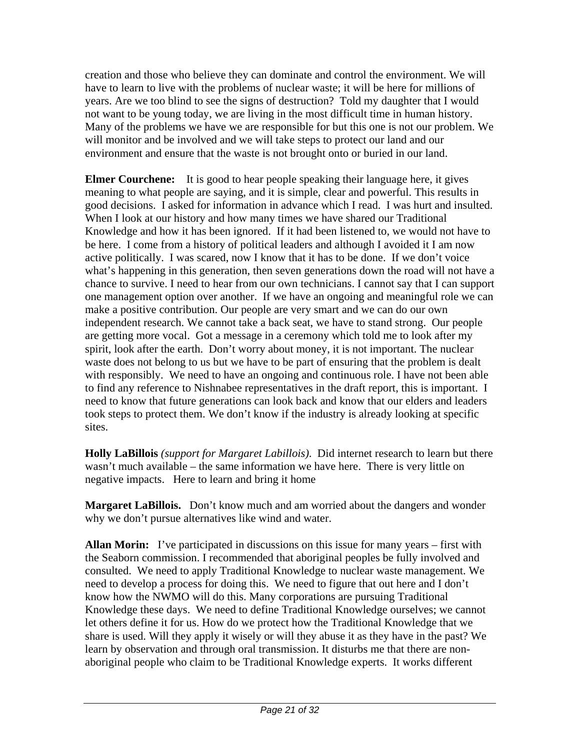creation and those who believe they can dominate and control the environment. We will have to learn to live with the problems of nuclear waste; it will be here for millions of years. Are we too blind to see the signs of destruction? Told my daughter that I would not want to be young today, we are living in the most difficult time in human history. Many of the problems we have we are responsible for but this one is not our problem. We will monitor and be involved and we will take steps to protect our land and our environment and ensure that the waste is not brought onto or buried in our land.

**Elmer Courchene:** It is good to hear people speaking their language here, it gives meaning to what people are saying, and it is simple, clear and powerful. This results in good decisions. I asked for information in advance which I read. I was hurt and insulted. When I look at our history and how many times we have shared our Traditional Knowledge and how it has been ignored. If it had been listened to, we would not have to be here. I come from a history of political leaders and although I avoided it I am now active politically. I was scared, now I know that it has to be done. If we don't voice what's happening in this generation, then seven generations down the road will not have a chance to survive. I need to hear from our own technicians. I cannot say that I can support one management option over another. If we have an ongoing and meaningful role we can make a positive contribution. Our people are very smart and we can do our own independent research. We cannot take a back seat, we have to stand strong. Our people are getting more vocal. Got a message in a ceremony which told me to look after my spirit, look after the earth. Don't worry about money, it is not important. The nuclear waste does not belong to us but we have to be part of ensuring that the problem is dealt with responsibly. We need to have an ongoing and continuous role. I have not been able to find any reference to Nishnabee representatives in the draft report, this is important. I need to know that future generations can look back and know that our elders and leaders took steps to protect them. We don't know if the industry is already looking at specific sites.

**Holly LaBillois** *(support for Margaret Labillois)*. Did internet research to learn but there wasn't much available – the same information we have here. There is very little on negative impacts. Here to learn and bring it home

**Margaret LaBillois.** Don't know much and am worried about the dangers and wonder why we don't pursue alternatives like wind and water.

**Allan Morin:** I've participated in discussions on this issue for many years – first with the Seaborn commission. I recommended that aboriginal peoples be fully involved and consulted. We need to apply Traditional Knowledge to nuclear waste management. We need to develop a process for doing this. We need to figure that out here and I don't know how the NWMO will do this. Many corporations are pursuing Traditional Knowledge these days. We need to define Traditional Knowledge ourselves; we cannot let others define it for us. How do we protect how the Traditional Knowledge that we share is used. Will they apply it wisely or will they abuse it as they have in the past? We learn by observation and through oral transmission. It disturbs me that there are nonaboriginal people who claim to be Traditional Knowledge experts. It works different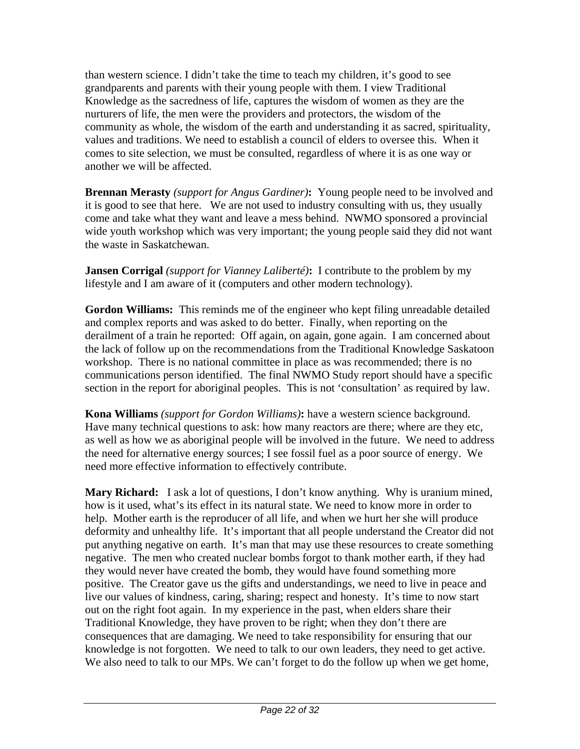than western science. I didn't take the time to teach my children, it's good to see grandparents and parents with their young people with them. I view Traditional Knowledge as the sacredness of life, captures the wisdom of women as they are the nurturers of life, the men were the providers and protectors, the wisdom of the community as whole, the wisdom of the earth and understanding it as sacred, spirituality, values and traditions. We need to establish a council of elders to oversee this. When it comes to site selection, we must be consulted, regardless of where it is as one way or another we will be affected.

**Brennan Merasty** *(support for Angus Gardiner)***:** Young people need to be involved and it is good to see that here. We are not used to industry consulting with us, they usually come and take what they want and leave a mess behind. NWMO sponsored a provincial wide youth workshop which was very important; the young people said they did not want the waste in Saskatchewan.

**Jansen Corrigal** *(support for Vianney Laliberté)***:** I contribute to the problem by my lifestyle and I am aware of it (computers and other modern technology).

**Gordon Williams:** This reminds me of the engineer who kept filing unreadable detailed and complex reports and was asked to do better. Finally, when reporting on the derailment of a train he reported: Off again, on again, gone again. I am concerned about the lack of follow up on the recommendations from the Traditional Knowledge Saskatoon workshop. There is no national committee in place as was recommended; there is no communications person identified. The final NWMO Study report should have a specific section in the report for aboriginal peoples. This is not 'consultation' as required by law.

**Kona Williams** *(support for Gordon Williams)***:** have a western science background. Have many technical questions to ask: how many reactors are there; where are they etc, as well as how we as aboriginal people will be involved in the future. We need to address the need for alternative energy sources; I see fossil fuel as a poor source of energy. We need more effective information to effectively contribute.

**Mary Richard:** I ask a lot of questions, I don't know anything. Why is uranium mined, how is it used, what's its effect in its natural state. We need to know more in order to help. Mother earth is the reproducer of all life, and when we hurt her she will produce deformity and unhealthy life. It's important that all people understand the Creator did not put anything negative on earth. It's man that may use these resources to create something negative. The men who created nuclear bombs forgot to thank mother earth, if they had they would never have created the bomb, they would have found something more positive. The Creator gave us the gifts and understandings, we need to live in peace and live our values of kindness, caring, sharing; respect and honesty. It's time to now start out on the right foot again. In my experience in the past, when elders share their Traditional Knowledge, they have proven to be right; when they don't there are consequences that are damaging. We need to take responsibility for ensuring that our knowledge is not forgotten. We need to talk to our own leaders, they need to get active. We also need to talk to our MPs. We can't forget to do the follow up when we get home,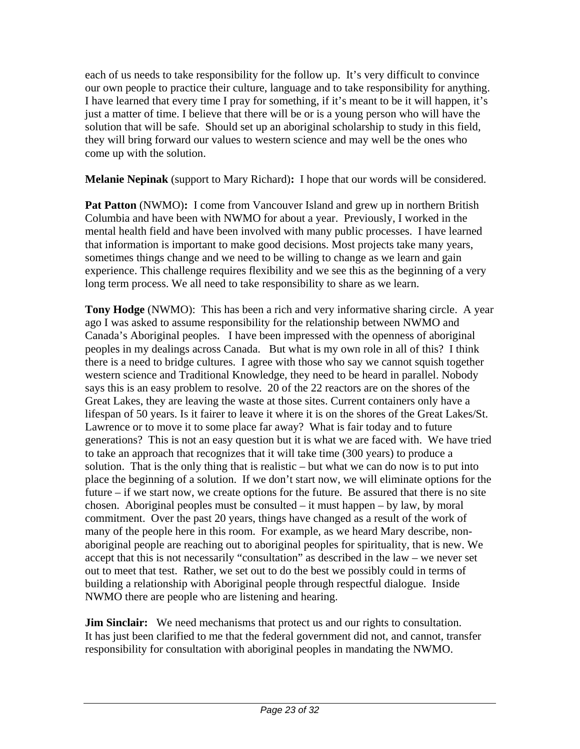each of us needs to take responsibility for the follow up. It's very difficult to convince our own people to practice their culture, language and to take responsibility for anything. I have learned that every time I pray for something, if it's meant to be it will happen, it's just a matter of time. I believe that there will be or is a young person who will have the solution that will be safe. Should set up an aboriginal scholarship to study in this field, they will bring forward our values to western science and may well be the ones who come up with the solution.

**Melanie Nepinak** (support to Mary Richard)**:** I hope that our words will be considered.

**Pat Patton** (NWMO): I come from Vancouver Island and grew up in northern British Columbia and have been with NWMO for about a year. Previously, I worked in the mental health field and have been involved with many public processes. I have learned that information is important to make good decisions. Most projects take many years, sometimes things change and we need to be willing to change as we learn and gain experience. This challenge requires flexibility and we see this as the beginning of a very long term process. We all need to take responsibility to share as we learn.

**Tony Hodge** (NWMO): This has been a rich and very informative sharing circle. A year ago I was asked to assume responsibility for the relationship between NWMO and Canada's Aboriginal peoples. I have been impressed with the openness of aboriginal peoples in my dealings across Canada. But what is my own role in all of this? I think there is a need to bridge cultures. I agree with those who say we cannot squish together western science and Traditional Knowledge, they need to be heard in parallel. Nobody says this is an easy problem to resolve. 20 of the 22 reactors are on the shores of the Great Lakes, they are leaving the waste at those sites. Current containers only have a lifespan of 50 years. Is it fairer to leave it where it is on the shores of the Great Lakes/St. Lawrence or to move it to some place far away? What is fair today and to future generations? This is not an easy question but it is what we are faced with. We have tried to take an approach that recognizes that it will take time (300 years) to produce a solution. That is the only thing that is realistic – but what we can do now is to put into place the beginning of a solution. If we don't start now, we will eliminate options for the future – if we start now, we create options for the future. Be assured that there is no site chosen. Aboriginal peoples must be consulted – it must happen – by law, by moral commitment. Over the past 20 years, things have changed as a result of the work of many of the people here in this room. For example, as we heard Mary describe, nonaboriginal people are reaching out to aboriginal peoples for spirituality, that is new. We accept that this is not necessarily "consultation" as described in the law – we never set out to meet that test. Rather, we set out to do the best we possibly could in terms of building a relationship with Aboriginal people through respectful dialogue. Inside NWMO there are people who are listening and hearing.

**Jim Sinclair:** We need mechanisms that protect us and our rights to consultation. It has just been clarified to me that the federal government did not, and cannot, transfer responsibility for consultation with aboriginal peoples in mandating the NWMO.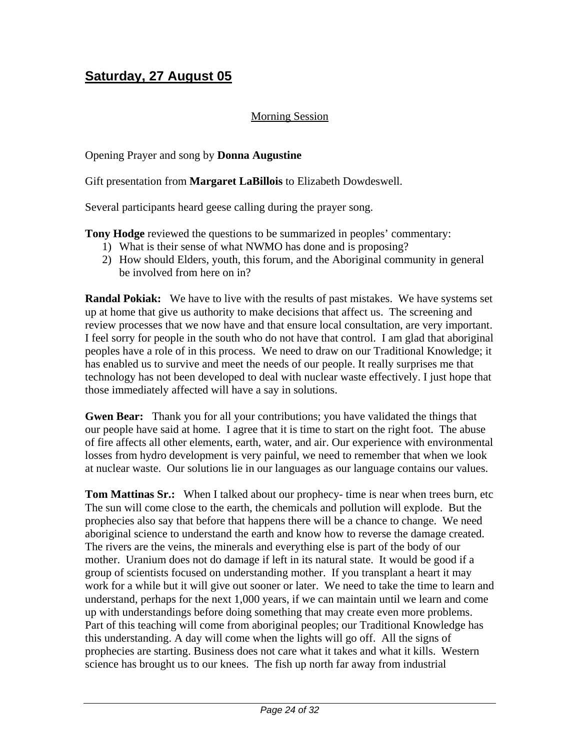### **Saturday, 27 August 05**

#### Morning Session

#### Opening Prayer and song by **Donna Augustine**

Gift presentation from **Margaret LaBillois** to Elizabeth Dowdeswell.

Several participants heard geese calling during the prayer song.

**Tony Hodge** reviewed the questions to be summarized in peoples' commentary:

- 1) What is their sense of what NWMO has done and is proposing?
- 2) How should Elders, youth, this forum, and the Aboriginal community in general be involved from here on in?

**Randal Pokiak:** We have to live with the results of past mistakes. We have systems set up at home that give us authority to make decisions that affect us. The screening and review processes that we now have and that ensure local consultation, are very important. I feel sorry for people in the south who do not have that control. I am glad that aboriginal peoples have a role of in this process. We need to draw on our Traditional Knowledge; it has enabled us to survive and meet the needs of our people. It really surprises me that technology has not been developed to deal with nuclear waste effectively. I just hope that those immediately affected will have a say in solutions.

**Gwen Bear:** Thank you for all your contributions; you have validated the things that our people have said at home. I agree that it is time to start on the right foot. The abuse of fire affects all other elements, earth, water, and air. Our experience with environmental losses from hydro development is very painful, we need to remember that when we look at nuclear waste. Our solutions lie in our languages as our language contains our values.

**Tom Mattinas Sr.:** When I talked about our prophecy- time is near when trees burn, etc The sun will come close to the earth, the chemicals and pollution will explode. But the prophecies also say that before that happens there will be a chance to change. We need aboriginal science to understand the earth and know how to reverse the damage created. The rivers are the veins, the minerals and everything else is part of the body of our mother. Uranium does not do damage if left in its natural state. It would be good if a group of scientists focused on understanding mother. If you transplant a heart it may work for a while but it will give out sooner or later. We need to take the time to learn and understand, perhaps for the next 1,000 years, if we can maintain until we learn and come up with understandings before doing something that may create even more problems. Part of this teaching will come from aboriginal peoples; our Traditional Knowledge has this understanding. A day will come when the lights will go off. All the signs of prophecies are starting. Business does not care what it takes and what it kills. Western science has brought us to our knees. The fish up north far away from industrial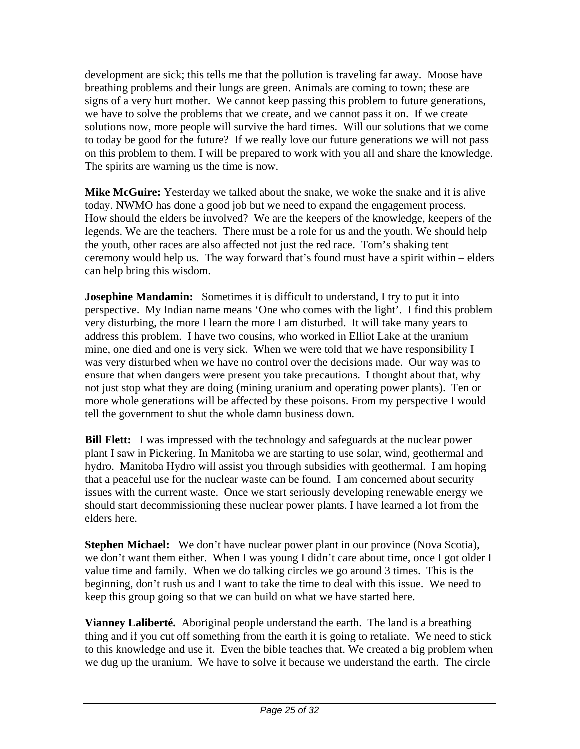development are sick; this tells me that the pollution is traveling far away. Moose have breathing problems and their lungs are green. Animals are coming to town; these are signs of a very hurt mother. We cannot keep passing this problem to future generations, we have to solve the problems that we create, and we cannot pass it on. If we create solutions now, more people will survive the hard times. Will our solutions that we come to today be good for the future? If we really love our future generations we will not pass on this problem to them. I will be prepared to work with you all and share the knowledge. The spirits are warning us the time is now.

**Mike McGuire:** Yesterday we talked about the snake, we woke the snake and it is alive today. NWMO has done a good job but we need to expand the engagement process. How should the elders be involved? We are the keepers of the knowledge, keepers of the legends. We are the teachers. There must be a role for us and the youth. We should help the youth, other races are also affected not just the red race. Tom's shaking tent ceremony would help us. The way forward that's found must have a spirit within – elders can help bring this wisdom.

**Josephine Mandamin:** Sometimes it is difficult to understand, I try to put it into perspective. My Indian name means 'One who comes with the light'. I find this problem very disturbing, the more I learn the more I am disturbed. It will take many years to address this problem. I have two cousins, who worked in Elliot Lake at the uranium mine, one died and one is very sick. When we were told that we have responsibility I was very disturbed when we have no control over the decisions made. Our way was to ensure that when dangers were present you take precautions. I thought about that, why not just stop what they are doing (mining uranium and operating power plants). Ten or more whole generations will be affected by these poisons. From my perspective I would tell the government to shut the whole damn business down.

**Bill Flett:** I was impressed with the technology and safeguards at the nuclear power plant I saw in Pickering. In Manitoba we are starting to use solar, wind, geothermal and hydro. Manitoba Hydro will assist you through subsidies with geothermal. I am hoping that a peaceful use for the nuclear waste can be found. I am concerned about security issues with the current waste. Once we start seriously developing renewable energy we should start decommissioning these nuclear power plants. I have learned a lot from the elders here.

**Stephen Michael:** We don't have nuclear power plant in our province (Nova Scotia), we don't want them either. When I was young I didn't care about time, once I got older I value time and family. When we do talking circles we go around 3 times. This is the beginning, don't rush us and I want to take the time to deal with this issue. We need to keep this group going so that we can build on what we have started here.

**Vianney Laliberté.** Aboriginal people understand the earth. The land is a breathing thing and if you cut off something from the earth it is going to retaliate. We need to stick to this knowledge and use it. Even the bible teaches that. We created a big problem when we dug up the uranium. We have to solve it because we understand the earth. The circle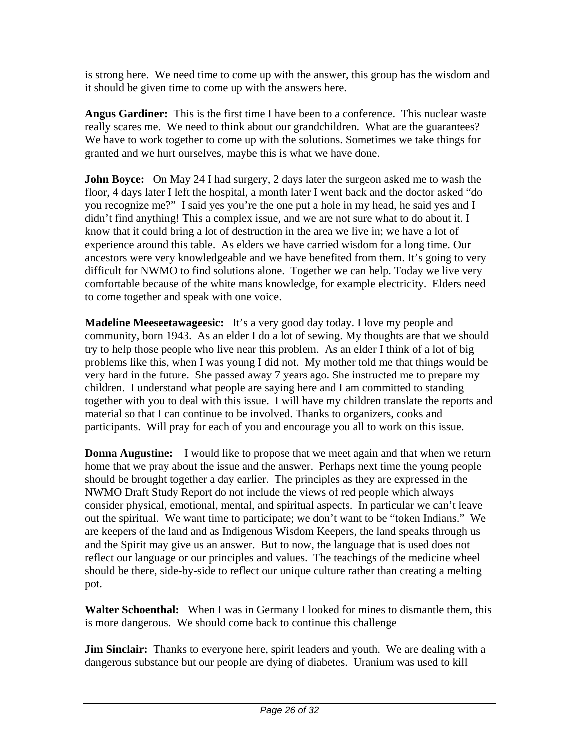is strong here. We need time to come up with the answer, this group has the wisdom and it should be given time to come up with the answers here.

**Angus Gardiner:** This is the first time I have been to a conference. This nuclear waste really scares me. We need to think about our grandchildren. What are the guarantees? We have to work together to come up with the solutions. Sometimes we take things for granted and we hurt ourselves, maybe this is what we have done.

**John Boyce:** On May 24 I had surgery, 2 days later the surgeon asked me to wash the floor, 4 days later I left the hospital, a month later I went back and the doctor asked "do you recognize me?" I said yes you're the one put a hole in my head, he said yes and I didn't find anything! This a complex issue, and we are not sure what to do about it. I know that it could bring a lot of destruction in the area we live in; we have a lot of experience around this table. As elders we have carried wisdom for a long time. Our ancestors were very knowledgeable and we have benefited from them. It's going to very difficult for NWMO to find solutions alone. Together we can help. Today we live very comfortable because of the white mans knowledge, for example electricity. Elders need to come together and speak with one voice.

**Madeline Meeseetawageesic:** It's a very good day today. I love my people and community, born 1943. As an elder I do a lot of sewing. My thoughts are that we should try to help those people who live near this problem. As an elder I think of a lot of big problems like this, when I was young I did not. My mother told me that things would be very hard in the future. She passed away 7 years ago. She instructed me to prepare my children. I understand what people are saying here and I am committed to standing together with you to deal with this issue. I will have my children translate the reports and material so that I can continue to be involved. Thanks to organizers, cooks and participants. Will pray for each of you and encourage you all to work on this issue.

**Donna Augustine:** I would like to propose that we meet again and that when we return home that we pray about the issue and the answer. Perhaps next time the young people should be brought together a day earlier. The principles as they are expressed in the NWMO Draft Study Report do not include the views of red people which always consider physical, emotional, mental, and spiritual aspects. In particular we can't leave out the spiritual. We want time to participate; we don't want to be "token Indians." We are keepers of the land and as Indigenous Wisdom Keepers, the land speaks through us and the Spirit may give us an answer. But to now, the language that is used does not reflect our language or our principles and values. The teachings of the medicine wheel should be there, side-by-side to reflect our unique culture rather than creating a melting pot.

**Walter Schoenthal:** When I was in Germany I looked for mines to dismantle them, this is more dangerous. We should come back to continue this challenge

**Jim Sinclair:** Thanks to everyone here, spirit leaders and youth. We are dealing with a dangerous substance but our people are dying of diabetes. Uranium was used to kill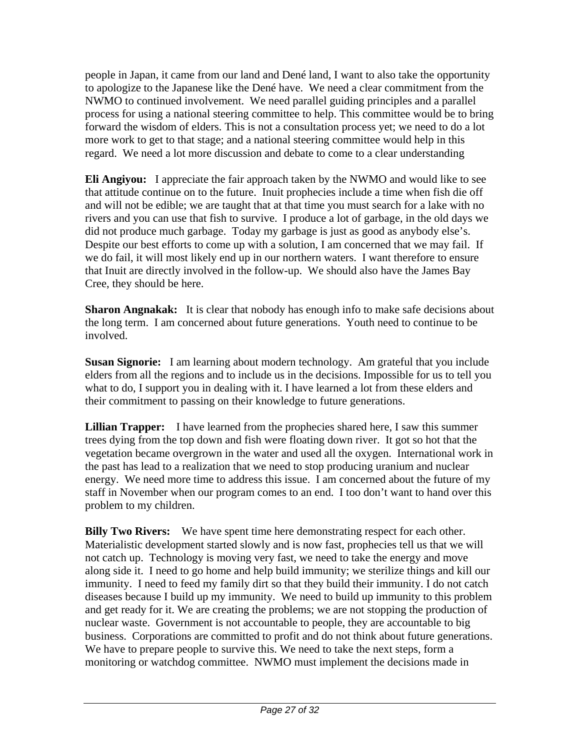people in Japan, it came from our land and Dené land, I want to also take the opportunity to apologize to the Japanese like the Dené have. We need a clear commitment from the NWMO to continued involvement. We need parallel guiding principles and a parallel process for using a national steering committee to help. This committee would be to bring forward the wisdom of elders. This is not a consultation process yet; we need to do a lot more work to get to that stage; and a national steering committee would help in this regard. We need a lot more discussion and debate to come to a clear understanding

**Eli Angiyou:** I appreciate the fair approach taken by the NWMO and would like to see that attitude continue on to the future. Inuit prophecies include a time when fish die off and will not be edible; we are taught that at that time you must search for a lake with no rivers and you can use that fish to survive. I produce a lot of garbage, in the old days we did not produce much garbage. Today my garbage is just as good as anybody else's. Despite our best efforts to come up with a solution, I am concerned that we may fail. If we do fail, it will most likely end up in our northern waters. I want therefore to ensure that Inuit are directly involved in the follow-up. We should also have the James Bay Cree, they should be here.

**Sharon Angnakak:** It is clear that nobody has enough info to make safe decisions about the long term. I am concerned about future generations. Youth need to continue to be involved.

**Susan Signorie:** I am learning about modern technology. Am grateful that you include elders from all the regions and to include us in the decisions. Impossible for us to tell you what to do, I support you in dealing with it. I have learned a lot from these elders and their commitment to passing on their knowledge to future generations.

**Lillian Trapper:** I have learned from the prophecies shared here, I saw this summer trees dying from the top down and fish were floating down river. It got so hot that the vegetation became overgrown in the water and used all the oxygen. International work in the past has lead to a realization that we need to stop producing uranium and nuclear energy. We need more time to address this issue. I am concerned about the future of my staff in November when our program comes to an end. I too don't want to hand over this problem to my children.

**Billy Two Rivers:** We have spent time here demonstrating respect for each other. Materialistic development started slowly and is now fast, prophecies tell us that we will not catch up. Technology is moving very fast, we need to take the energy and move along side it. I need to go home and help build immunity; we sterilize things and kill our immunity. I need to feed my family dirt so that they build their immunity. I do not catch diseases because I build up my immunity. We need to build up immunity to this problem and get ready for it. We are creating the problems; we are not stopping the production of nuclear waste. Government is not accountable to people, they are accountable to big business. Corporations are committed to profit and do not think about future generations. We have to prepare people to survive this. We need to take the next steps, form a monitoring or watchdog committee. NWMO must implement the decisions made in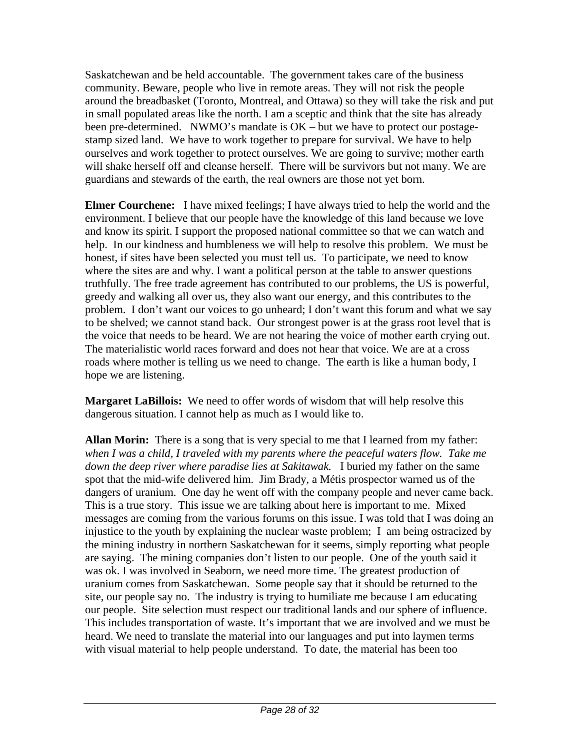Saskatchewan and be held accountable. The government takes care of the business community. Beware, people who live in remote areas. They will not risk the people around the breadbasket (Toronto, Montreal, and Ottawa) so they will take the risk and put in small populated areas like the north. I am a sceptic and think that the site has already been pre-determined. NWMO's mandate is OK – but we have to protect our postagestamp sized land. We have to work together to prepare for survival. We have to help ourselves and work together to protect ourselves. We are going to survive; mother earth will shake herself off and cleanse herself. There will be survivors but not many. We are guardians and stewards of the earth, the real owners are those not yet born.

**Elmer Courchene:** I have mixed feelings; I have always tried to help the world and the environment. I believe that our people have the knowledge of this land because we love and know its spirit. I support the proposed national committee so that we can watch and help. In our kindness and humbleness we will help to resolve this problem. We must be honest, if sites have been selected you must tell us. To participate, we need to know where the sites are and why. I want a political person at the table to answer questions truthfully. The free trade agreement has contributed to our problems, the US is powerful, greedy and walking all over us, they also want our energy, and this contributes to the problem. I don't want our voices to go unheard; I don't want this forum and what we say to be shelved; we cannot stand back. Our strongest power is at the grass root level that is the voice that needs to be heard. We are not hearing the voice of mother earth crying out. The materialistic world races forward and does not hear that voice. We are at a cross roads where mother is telling us we need to change. The earth is like a human body, I hope we are listening.

**Margaret LaBillois:** We need to offer words of wisdom that will help resolve this dangerous situation. I cannot help as much as I would like to.

**Allan Morin:** There is a song that is very special to me that I learned from my father: *when I was a child, I traveled with my parents where the peaceful waters flow. Take me down the deep river where paradise lies at Sakitawak.* I buried my father on the same spot that the mid-wife delivered him. Jim Brady, a Métis prospector warned us of the dangers of uranium. One day he went off with the company people and never came back. This is a true story. This issue we are talking about here is important to me. Mixed messages are coming from the various forums on this issue. I was told that I was doing an injustice to the youth by explaining the nuclear waste problem; I am being ostracized by the mining industry in northern Saskatchewan for it seems, simply reporting what people are saying. The mining companies don't listen to our people. One of the youth said it was ok. I was involved in Seaborn, we need more time. The greatest production of uranium comes from Saskatchewan. Some people say that it should be returned to the site, our people say no. The industry is trying to humiliate me because I am educating our people. Site selection must respect our traditional lands and our sphere of influence. This includes transportation of waste. It's important that we are involved and we must be heard. We need to translate the material into our languages and put into laymen terms with visual material to help people understand. To date, the material has been too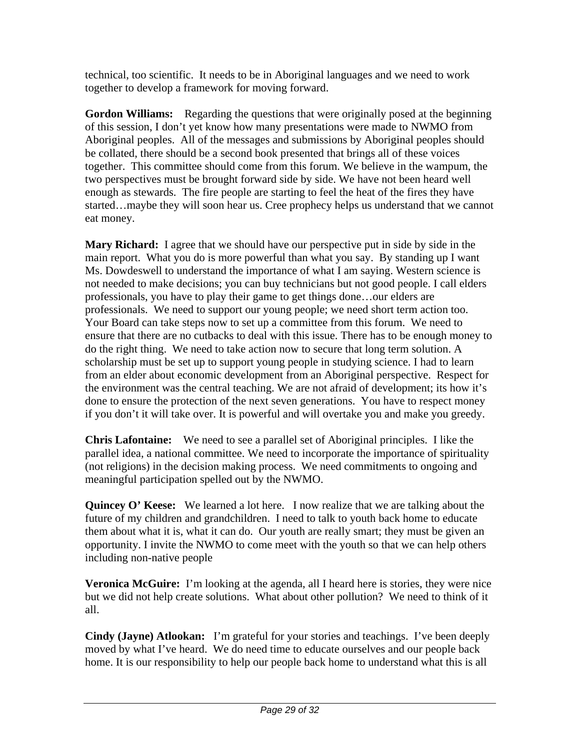technical, too scientific. It needs to be in Aboriginal languages and we need to work together to develop a framework for moving forward.

**Gordon Williams:** Regarding the questions that were originally posed at the beginning of this session, I don't yet know how many presentations were made to NWMO from Aboriginal peoples. All of the messages and submissions by Aboriginal peoples should be collated, there should be a second book presented that brings all of these voices together. This committee should come from this forum. We believe in the wampum, the two perspectives must be brought forward side by side. We have not been heard well enough as stewards. The fire people are starting to feel the heat of the fires they have started…maybe they will soon hear us. Cree prophecy helps us understand that we cannot eat money.

**Mary Richard:** I agree that we should have our perspective put in side by side in the main report. What you do is more powerful than what you say. By standing up I want Ms. Dowdeswell to understand the importance of what I am saying. Western science is not needed to make decisions; you can buy technicians but not good people. I call elders professionals, you have to play their game to get things done…our elders are professionals. We need to support our young people; we need short term action too. Your Board can take steps now to set up a committee from this forum. We need to ensure that there are no cutbacks to deal with this issue. There has to be enough money to do the right thing. We need to take action now to secure that long term solution. A scholarship must be set up to support young people in studying science. I had to learn from an elder about economic development from an Aboriginal perspective. Respect for the environment was the central teaching. We are not afraid of development; its how it's done to ensure the protection of the next seven generations. You have to respect money if you don't it will take over. It is powerful and will overtake you and make you greedy.

**Chris Lafontaine:** We need to see a parallel set of Aboriginal principles. I like the parallel idea, a national committee. We need to incorporate the importance of spirituality (not religions) in the decision making process. We need commitments to ongoing and meaningful participation spelled out by the NWMO.

**Quincey O' Keese:** We learned a lot here. I now realize that we are talking about the future of my children and grandchildren. I need to talk to youth back home to educate them about what it is, what it can do. Our youth are really smart; they must be given an opportunity. I invite the NWMO to come meet with the youth so that we can help others including non-native people

**Veronica McGuire:** I'm looking at the agenda, all I heard here is stories, they were nice but we did not help create solutions. What about other pollution? We need to think of it all.

**Cindy (Jayne) Atlookan:** I'm grateful for your stories and teachings. I've been deeply moved by what I've heard. We do need time to educate ourselves and our people back home. It is our responsibility to help our people back home to understand what this is all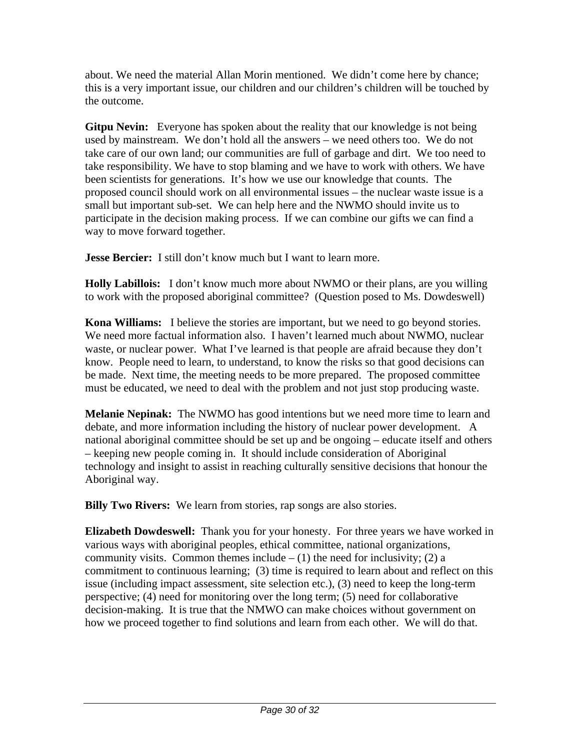about. We need the material Allan Morin mentioned. We didn't come here by chance; this is a very important issue, our children and our children's children will be touched by the outcome.

**Gitpu Nevin:** Everyone has spoken about the reality that our knowledge is not being used by mainstream. We don't hold all the answers – we need others too. We do not take care of our own land; our communities are full of garbage and dirt. We too need to take responsibility. We have to stop blaming and we have to work with others. We have been scientists for generations. It's how we use our knowledge that counts. The proposed council should work on all environmental issues – the nuclear waste issue is a small but important sub-set. We can help here and the NWMO should invite us to participate in the decision making process. If we can combine our gifts we can find a way to move forward together.

**Jesse Bercier:** I still don't know much but I want to learn more.

**Holly Labillois:** I don't know much more about NWMO or their plans, are you willing to work with the proposed aboriginal committee? (Question posed to Ms. Dowdeswell)

**Kona Williams:** I believe the stories are important, but we need to go beyond stories. We need more factual information also. I haven't learned much about NWMO, nuclear waste, or nuclear power. What I've learned is that people are afraid because they don't know. People need to learn, to understand, to know the risks so that good decisions can be made. Next time, the meeting needs to be more prepared. The proposed committee must be educated, we need to deal with the problem and not just stop producing waste.

**Melanie Nepinak:** The NWMO has good intentions but we need more time to learn and debate, and more information including the history of nuclear power development. A national aboriginal committee should be set up and be ongoing – educate itself and others – keeping new people coming in. It should include consideration of Aboriginal technology and insight to assist in reaching culturally sensitive decisions that honour the Aboriginal way.

**Billy Two Rivers:** We learn from stories, rap songs are also stories.

**Elizabeth Dowdeswell:** Thank you for your honesty. For three years we have worked in various ways with aboriginal peoples, ethical committee, national organizations, community visits. Common themes include  $- (1)$  the need for inclusivity; (2) a commitment to continuous learning; (3) time is required to learn about and reflect on this issue (including impact assessment, site selection etc.), (3) need to keep the long-term perspective; (4) need for monitoring over the long term; (5) need for collaborative decision-making. It is true that the NMWO can make choices without government on how we proceed together to find solutions and learn from each other. We will do that.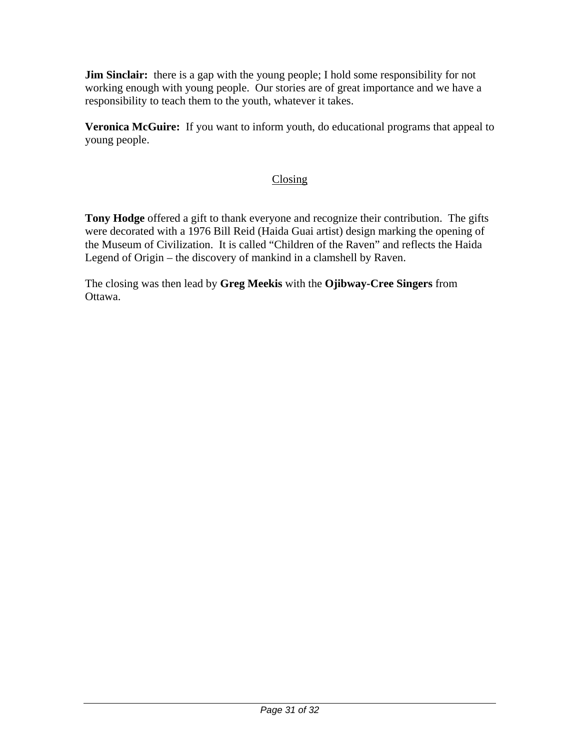**Jim Sinclair:** there is a gap with the young people; I hold some responsibility for not working enough with young people. Our stories are of great importance and we have a responsibility to teach them to the youth, whatever it takes.

**Veronica McGuire:** If you want to inform youth, do educational programs that appeal to young people.

### Closing

**Tony Hodge** offered a gift to thank everyone and recognize their contribution. The gifts were decorated with a 1976 Bill Reid (Haida Guai artist) design marking the opening of the Museum of Civilization. It is called "Children of the Raven" and reflects the Haida Legend of Origin – the discovery of mankind in a clamshell by Raven.

The closing was then lead by **Greg Meekis** with the **Ojibway-Cree Singers** from Ottawa.